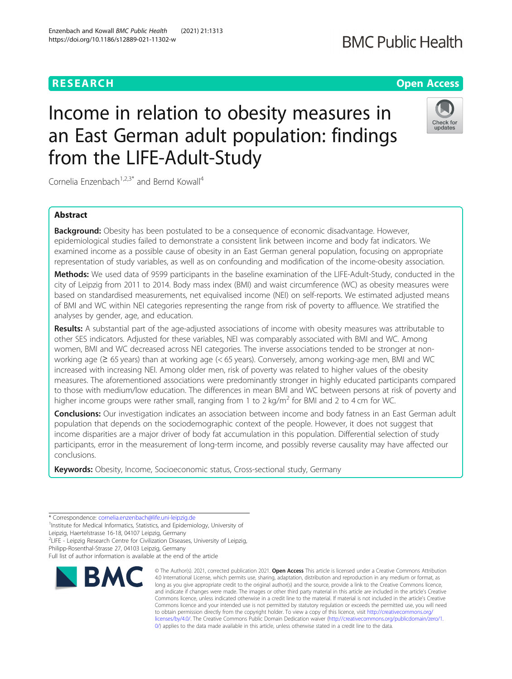# Income in relation to obesity measures in an East German adult population: findings from the LIFE-Adult-Study

Cornelia Enzenbach<sup>1,2,3\*</sup> and Bernd Kowall<sup>4</sup>

# Abstract

**Background:** Obesity has been postulated to be a consequence of economic disadvantage. However, epidemiological studies failed to demonstrate a consistent link between income and body fat indicators. We examined income as a possible cause of obesity in an East German general population, focusing on appropriate representation of study variables, as well as on confounding and modification of the income-obesity association.

Methods: We used data of 9599 participants in the baseline examination of the LIFE-Adult-Study, conducted in the city of Leipzig from 2011 to 2014. Body mass index (BMI) and waist circumference (WC) as obesity measures were based on standardised measurements, net equivalised income (NEI) on self-reports. We estimated adjusted means of BMI and WC within NEI categories representing the range from risk of poverty to affluence. We stratified the analyses by gender, age, and education.

Results: A substantial part of the age-adjusted associations of income with obesity measures was attributable to other SES indicators. Adjusted for these variables, NEI was comparably associated with BMI and WC. Among women, BMI and WC decreased across NEI categories. The inverse associations tended to be stronger at nonworking age (≥ 65 years) than at working age (< 65 years). Conversely, among working-age men, BMI and WC increased with increasing NEI. Among older men, risk of poverty was related to higher values of the obesity measures. The aforementioned associations were predominantly stronger in highly educated participants compared to those with medium/low education. The differences in mean BMI and WC between persons at risk of poverty and higher income groups were rather small, ranging from 1 to 2 kg/m<sup>2</sup> for BMI and 2 to 4 cm for WC.

Conclusions: Our investigation indicates an association between income and body fatness in an East German adult population that depends on the sociodemographic context of the people. However, it does not suggest that income disparities are a major driver of body fat accumulation in this population. Differential selection of study participants, error in the measurement of long-term income, and possibly reverse causality may have affected our conclusions.

Keywords: Obesity, Income, Socioeconomic status, Cross-sectional study, Germany

2 LIFE - Leipzig Research Centre for Civilization Diseases, University of Leipzig,



© The Author(s). 2021, corrected publication 2021. Open Access This article is licensed under a Creative Commons Attribution 4.0 International License, which permits use, sharing, adaptation, distribution and reproduction in any medium or format, as long as you give appropriate credit to the original author(s) and the source, provide a link to the Creative Commons licence, and indicate if changes were made. The images or other third party material in this article are included in the article's Creative Commons licence, unless indicated otherwise in a credit line to the material. If material is not included in the article's Creative Commons licence and your intended use is not permitted by statutory regulation or exceeds the permitted use, you will need to obtain permission directly from the copyright holder. To view a copy of this licence, visit [http://creativecommons.org/](http://creativecommons.org/licenses/by/4.0/) [licenses/by/4.0/.](http://creativecommons.org/licenses/by/4.0/) The Creative Commons Public Domain Dedication waiver ([http://creativecommons.org/publicdomain/zero/1.](http://creativecommons.org/publicdomain/zero/1.0/) [0/\)](http://creativecommons.org/publicdomain/zero/1.0/) applies to the data made available in this article, unless otherwise stated in a credit line to the data.

# **RESEARCH CHEAR CHEAR CHEAR CHEAR CHEAR CHEAP CONTROL**



# **BMC Public Health**

<sup>\*</sup> Correspondence: [cornelia.enzenbach@life.uni-leipzig.de](mailto:cornelia.enzenbach@life.uni-leipzig.de) <sup>1</sup>

<sup>&</sup>lt;sup>1</sup>Institute for Medical Informatics, Statistics, and Epidemiology, University of

Leipzig, Haertelstrasse 16-18, 04107 Leipzig, Germany

Philipp-Rosenthal-Strasse 27, 04103 Leipzig, Germany

Full list of author information is available at the end of the article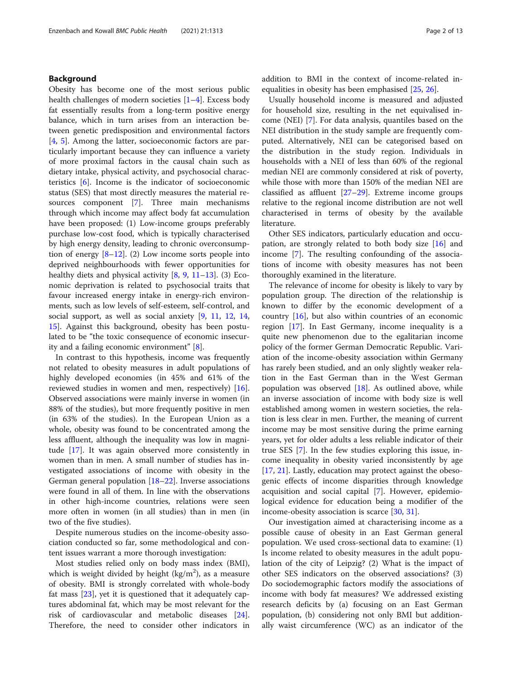# Background

Obesity has become one of the most serious public health challenges of modern societies [[1](#page-11-0)–[4](#page-11-0)]. Excess body fat essentially results from a long-term positive energy balance, which in turn arises from an interaction between genetic predisposition and environmental factors [[4,](#page-11-0) [5\]](#page-11-0). Among the latter, socioeconomic factors are particularly important because they can influence a variety of more proximal factors in the causal chain such as dietary intake, physical activity, and psychosocial characteristics [\[6](#page-11-0)]. Income is the indicator of socioeconomic status (SES) that most directly measures the material re-sources component [\[7\]](#page-11-0). Three main mechanisms through which income may affect body fat accumulation have been proposed: (1) Low-income groups preferably purchase low-cost food, which is typically characterised by high energy density, leading to chronic overconsumption of energy  $[8-12]$  $[8-12]$  $[8-12]$  $[8-12]$  $[8-12]$ . (2) Low income sorts people into deprived neighbourhoods with fewer opportunities for healthy diets and physical activity  $[8, 9, 11-13]$  $[8, 9, 11-13]$  $[8, 9, 11-13]$  $[8, 9, 11-13]$  $[8, 9, 11-13]$  $[8, 9, 11-13]$  $[8, 9, 11-13]$ . (3) Economic deprivation is related to psychosocial traits that favour increased energy intake in energy-rich environments, such as low levels of self-esteem, self-control, and social support, as well as social anxiety [[9,](#page-11-0) [11](#page-11-0), [12,](#page-11-0) [14](#page-11-0), [15\]](#page-11-0). Against this background, obesity has been postulated to be "the toxic consequence of economic insecurity and a failing economic environment" [[8](#page-11-0)].

In contrast to this hypothesis, income was frequently not related to obesity measures in adult populations of highly developed economies (in 45% and 61% of the reviewed studies in women and men, respectively) [\[16](#page-11-0)]. Observed associations were mainly inverse in women (in 88% of the studies), but more frequently positive in men (in 63% of the studies). In the European Union as a whole, obesity was found to be concentrated among the less affluent, although the inequality was low in magnitude [\[17\]](#page-11-0). It was again observed more consistently in women than in men. A small number of studies has investigated associations of income with obesity in the German general population [[18](#page-11-0)–[22](#page-11-0)]. Inverse associations were found in all of them. In line with the observations in other high-income countries, relations were seen more often in women (in all studies) than in men (in two of the five studies).

Despite numerous studies on the income-obesity association conducted so far, some methodological and content issues warrant a more thorough investigation:

Most studies relied only on body mass index (BMI), which is weight divided by height  $(kg/m^2)$ , as a measure of obesity. BMI is strongly correlated with whole-body fat mass [\[23\]](#page-11-0), yet it is questioned that it adequately captures abdominal fat, which may be most relevant for the risk of cardiovascular and metabolic diseases [\[24](#page-11-0)]. Therefore, the need to consider other indicators in addition to BMI in the context of income-related inequalities in obesity has been emphasised [\[25](#page-11-0), [26](#page-11-0)].

Usually household income is measured and adjusted for household size, resulting in the net equivalised income (NEI) [[7\]](#page-11-0). For data analysis, quantiles based on the NEI distribution in the study sample are frequently computed. Alternatively, NEI can be categorised based on the distribution in the study region. Individuals in households with a NEI of less than 60% of the regional median NEI are commonly considered at risk of poverty, while those with more than 150% of the median NEI are classified as affluent [[27](#page-11-0)–[29](#page-12-0)]. Extreme income groups relative to the regional income distribution are not well characterised in terms of obesity by the available literature.

Other SES indicators, particularly education and occupation, are strongly related to both body size [\[16\]](#page-11-0) and income [[7\]](#page-11-0). The resulting confounding of the associations of income with obesity measures has not been thoroughly examined in the literature.

The relevance of income for obesity is likely to vary by population group. The direction of the relationship is known to differ by the economic development of a country [[16](#page-11-0)], but also within countries of an economic region [\[17\]](#page-11-0). In East Germany, income inequality is a quite new phenomenon due to the egalitarian income policy of the former German Democratic Republic. Variation of the income-obesity association within Germany has rarely been studied, and an only slightly weaker relation in the East German than in the West German population was observed  $[18]$  $[18]$ . As outlined above, while an inverse association of income with body size is well established among women in western societies, the relation is less clear in men. Further, the meaning of current income may be most sensitive during the prime earning years, yet for older adults a less reliable indicator of their true SES [[7](#page-11-0)]. In the few studies exploring this issue, income inequality in obesity varied inconsistently by age [[17,](#page-11-0) [21\]](#page-11-0). Lastly, education may protect against the obesogenic effects of income disparities through knowledge acquisition and social capital [[7\]](#page-11-0). However, epidemiological evidence for education being a modifier of the income-obesity association is scarce [[30,](#page-12-0) [31\]](#page-12-0).

Our investigation aimed at characterising income as a possible cause of obesity in an East German general population. We used cross-sectional data to examine: (1) Is income related to obesity measures in the adult population of the city of Leipzig? (2) What is the impact of other SES indicators on the observed associations? (3) Do sociodemographic factors modify the associations of income with body fat measures? We addressed existing research deficits by (a) focusing on an East German population, (b) considering not only BMI but additionally waist circumference (WC) as an indicator of the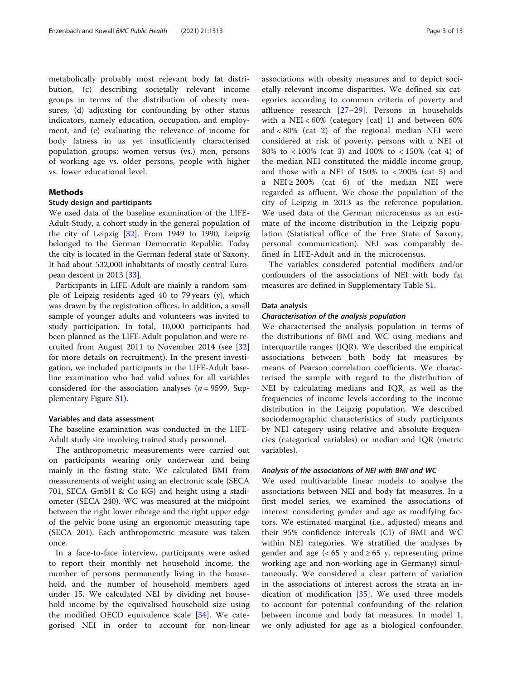metabolically probably most relevant body fat distribution, (c) describing societally relevant income groups in terms of the distribution of obesity measures, (d) adjusting for confounding by other status indicators, namely education, occupation, and employment, and (e) evaluating the relevance of income for body fatness in as yet insufficiently characterised population groups: women versus (vs.) men, persons of working age vs. older persons, people with higher vs. lower educational level.

## Methods

#### Study design and participants

We used data of the baseline examination of the LIFE-Adult-Study, a cohort study in the general population of the city of Leipzig [[32](#page-12-0)]. From 1949 to 1990, Leipzig belonged to the German Democratic Republic. Today the city is located in the German federal state of Saxony. It had about 532,000 inhabitants of mostly central European descent in 2013 [\[33](#page-12-0)].

Participants in LIFE-Adult are mainly a random sample of Leipzig residents aged 40 to 79 years (y), which was drawn by the registration offices. In addition, a small sample of younger adults and volunteers was invited to study participation. In total, 10,000 participants had been planned as the LIFE-Adult population and were recruited from August 2011 to November 2014 (see [[32](#page-12-0)] for more details on recruitment). In the present investigation, we included participants in the LIFE-Adult baseline examination who had valid values for all variables considered for the association analyses ( $n = 9599$ , Supplementary Figure [S1](#page-10-0)).

#### Variables and data assessment

The baseline examination was conducted in the LIFE-Adult study site involving trained study personnel.

The anthropometric measurements were carried out on participants wearing only underwear and being mainly in the fasting state. We calculated BMI from measurements of weight using an electronic scale (SECA 701, SECA GmbH & Co KG) and height using a stadiometer (SECA 240). WC was measured at the midpoint between the right lower ribcage and the right upper edge of the pelvic bone using an ergonomic measuring tape (SECA 201). Each anthropometric measure was taken once.

In a face-to-face interview, participants were asked to report their monthly net household income, the number of persons permanently living in the household, and the number of household members aged under 15. We calculated NEI by dividing net household income by the equivalised household size using the modified OECD equivalence scale [\[34](#page-12-0)]. We categorised NEI in order to account for non-linear associations with obesity measures and to depict societally relevant income disparities. We defined six categories according to common criteria of poverty and affluence research [[27](#page-11-0)–[29](#page-12-0)]. Persons in households with a NEI < 60% (category [cat] 1) and between 60% and < 80% (cat 2) of the regional median NEI were considered at risk of poverty, persons with a NEI of 80% to < 100% (cat 3) and 100% to < 150% (cat 4) of the median NEI constituted the middle income group, and those with a NEI of 150% to < 200% (cat 5) and a NEI  $\geq$  200% (cat 6) of the median NEI were regarded as affluent. We chose the population of the city of Leipzig in 2013 as the reference population. We used data of the German microcensus as an estimate of the income distribution in the Leipzig population (Statistical office of the Free State of Saxony, personal communication). NEI was comparably defined in LIFE-Adult and in the microcensus.

The variables considered potential modifiers and/or confounders of the associations of NEI with body fat measures are defined in Supplementary Table [S1](#page-10-0).

#### Data analysis

#### Characterisation of the analysis population

We characterised the analysis population in terms of the distributions of BMI and WC using medians and interquartile ranges (IQR). We described the empirical associations between both body fat measures by means of Pearson correlation coefficients. We characterised the sample with regard to the distribution of NEI by calculating medians and IQR, as well as the frequencies of income levels according to the income distribution in the Leipzig population. We described sociodemographic characteristics of study participants by NEI category using relative and absolute frequencies (categorical variables) or median and IQR (metric variables).

#### Analysis of the associations of NEI with BMI and WC

We used multivariable linear models to analyse the associations between NEI and body fat measures. In a first model series, we examined the associations of interest considering gender and age as modifying factors. We estimated marginal (i.e., adjusted) means and their 95% confidence intervals (CI) of BMI and WC within NEI categories. We stratified the analyses by gender and age  $\left( < 65$  y and  $\geq 65$  y, representing prime working age and non-working age in Germany) simultaneously. We considered a clear pattern of variation in the associations of interest across the strata an indication of modification  $[35]$  $[35]$ . We used three models to account for potential confounding of the relation between income and body fat measures. In model 1, we only adjusted for age as a biological confounder.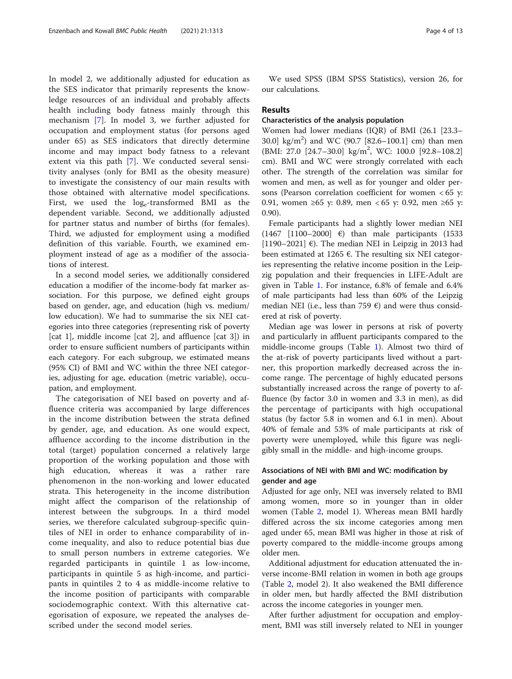In model 2, we additionally adjusted for education as the SES indicator that primarily represents the knowledge resources of an individual and probably affects health including body fatness mainly through this mechanism [[7\]](#page-11-0). In model 3, we further adjusted for occupation and employment status (for persons aged under 65) as SES indicators that directly determine income and may impact body fatness to a relevant extent via this path [[7\]](#page-11-0). We conducted several sensitivity analyses (only for BMI as the obesity measure) to investigate the consistency of our main results with those obtained with alternative model specifications. First, we used the  $log_e$ -transformed BMI as the dependent variable. Second, we additionally adjusted for partner status and number of births (for females). Third, we adjusted for employment using a modified definition of this variable. Fourth, we examined employment instead of age as a modifier of the associations of interest.

In a second model series, we additionally considered education a modifier of the income-body fat marker association. For this purpose, we defined eight groups based on gender, age, and education (high vs. medium/ low education). We had to summarise the six NEI categories into three categories (representing risk of poverty [cat 1], middle income [cat 2], and affluence [cat 3]) in order to ensure sufficient numbers of participants within each category. For each subgroup, we estimated means (95% CI) of BMI and WC within the three NEI categories, adjusting for age, education (metric variable), occupation, and employment.

The categorisation of NEI based on poverty and affluence criteria was accompanied by large differences in the income distribution between the strata defined by gender, age, and education. As one would expect, affluence according to the income distribution in the total (target) population concerned a relatively large proportion of the working population and those with high education, whereas it was a rather rare phenomenon in the non-working and lower educated strata. This heterogeneity in the income distribution might affect the comparison of the relationship of interest between the subgroups. In a third model series, we therefore calculated subgroup-specific quintiles of NEI in order to enhance comparability of income inequality, and also to reduce potential bias due to small person numbers in extreme categories. We regarded participants in quintile 1 as low-income, participants in quintile 5 as high-income, and participants in quintiles 2 to 4 as middle-income relative to the income position of participants with comparable sociodemographic context. With this alternative categorisation of exposure, we repeated the analyses described under the second model series.

We used SPSS (IBM SPSS Statistics), version 26, for our calculations.

### Results

# Characteristics of the analysis population

Women had lower medians (IQR) of BMI (26.1 [23.3– 30.0] kg/m<sup>2</sup> ) and WC (90.7 [82.6–100.1] cm) than men (BMI: 27.0 [24.7–30.0] kg/m<sup>2</sup> , WC: 100.0 [92.8–108.2] cm). BMI and WC were strongly correlated with each other. The strength of the correlation was similar for women and men, as well as for younger and older persons (Pearson correlation coefficient for women < 65 y: 0.91, women ≥65 y: 0.89, men < 65 y: 0.92, men ≥65 y: 0.90).

Female participants had a slightly lower median NEI (1467  $[1100-2000]$   $\varepsilon$ ) than male participants (1533 [1190–2021]  $\varepsilon$ ). The median NEI in Leipzig in 2013 had been estimated at 1265  $\epsilon$ . The resulting six NEI categories representing the relative income position in the Leipzig population and their frequencies in LIFE-Adult are given in Table [1](#page-4-0). For instance, 6.8% of female and 6.4% of male participants had less than 60% of the Leipzig median NEI (i.e., less than 759  $\epsilon$ ) and were thus considered at risk of poverty.

Median age was lower in persons at risk of poverty and particularly in affluent participants compared to the middle-income groups (Table [1](#page-4-0)). Almost two third of the at-risk of poverty participants lived without a partner, this proportion markedly decreased across the income range. The percentage of highly educated persons substantially increased across the range of poverty to affluence (by factor 3.0 in women and 3.3 in men), as did the percentage of participants with high occupational status (by factor 5.8 in women and 6.1 in men). About 40% of female and 53% of male participants at risk of poverty were unemployed, while this figure was negligibly small in the middle- and high-income groups.

# Associations of NEI with BMI and WC: modification by gender and age

Adjusted for age only, NEI was inversely related to BMI among women, more so in younger than in older women (Table [2](#page-5-0), model 1). Whereas mean BMI hardly differed across the six income categories among men aged under 65, mean BMI was higher in those at risk of poverty compared to the middle-income groups among older men.

Additional adjustment for education attenuated the inverse income-BMI relation in women in both age groups (Table [2](#page-5-0), model 2). It also weakened the BMI difference in older men, but hardly affected the BMI distribution across the income categories in younger men.

After further adjustment for occupation and employment, BMI was still inversely related to NEI in younger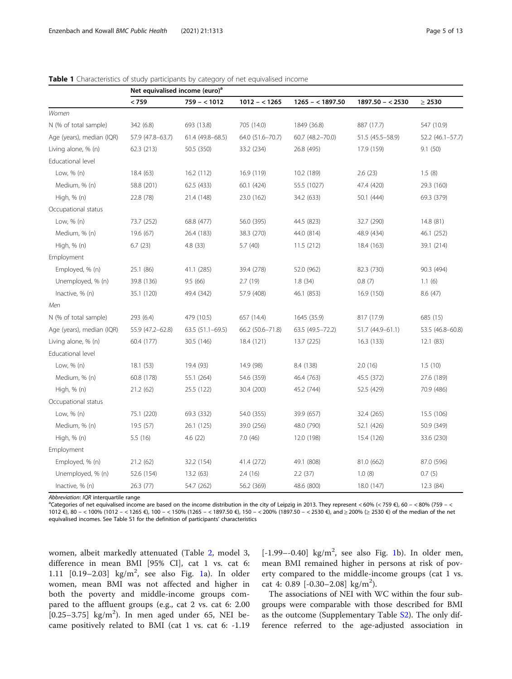|                           | Net equivalised income (euro) <sup>a</sup> |                   |                  |                    |                    |                  |  |
|---------------------------|--------------------------------------------|-------------------|------------------|--------------------|--------------------|------------------|--|
|                           | < 759                                      | $759 - 1012$      | $1012 - 1265$    | $1265 - < 1897.50$ | $1897.50 - < 2530$ | $\geq 2530$      |  |
| Women                     |                                            |                   |                  |                    |                    |                  |  |
| N (% of total sample)     | 342 (6.8)                                  | 693 (13.8)        | 705 (14.0)       | 1849 (36.8)        | 887 (17.7)         | 547 (10.9)       |  |
| Age (years), median (IQR) | 57.9 (47.8-63.7)                           | 61.4 (49.8-68.5)  | 64.0 (51.6-70.7) | 60.7 (48.2-70.0)   | 51.5 (45.5 - 58.9) | 52.2 (46.1-57.7) |  |
| Living alone, % (n)       | 62.3 (213)                                 | 50.5 (350)        | 33.2 (234)       | 26.8 (495)         | 17.9 (159)         | 9.1(50)          |  |
| Educational level         |                                            |                   |                  |                    |                    |                  |  |
| Low, % (n)                | 18.4(63)                                   | 16.2 (112)        | 16.9 (119)       | 10.2 (189)         | 2.6(23)            | 1.5(8)           |  |
| Medium, % (n)             | 58.8 (201)                                 | 62.5 (433)        | 60.1 (424)       | 55.5 (1027)        | 47.4 (420)         | 29.3 (160)       |  |
| High, % (n)               | 22.8 (78)                                  | 21.4 (148)        | 23.0 (162)       | 34.2 (633)         | 50.1 (444)         | 69.3 (379)       |  |
| Occupational status       |                                            |                   |                  |                    |                    |                  |  |
| Low, $% (n)$              | 73.7 (252)                                 | 68.8 (477)        | 56.0 (395)       | 44.5 (823)         | 32.7 (290)         | 14.8 (81)        |  |
| Medium, % (n)             | 19.6 (67)                                  | 26.4 (183)        | 38.3 (270)       | 44.0 (814)         | 48.9 (434)         | 46.1 (252)       |  |
| High, % (n)               | 6.7(23)                                    | 4.8 (33)          | 5.7(40)          | 11.5(212)          | 18.4 (163)         | 39.1 (214)       |  |
| Employment                |                                            |                   |                  |                    |                    |                  |  |
| Employed, % (n)           | 25.1 (86)                                  | 41.1 (285)        | 39.4 (278)       | 52.0 (962)         | 82.3 (730)         | 90.3 (494)       |  |
| Unemployed, % (n)         | 39.8 (136)                                 | 9.5(66)           | 2.7(19)          | 1.8(34)            | 0.8(7)             | 1.1(6)           |  |
| Inactive, % (n)           | 35.1 (120)                                 | 49.4 (342)        | 57.9 (408)       | 46.1 (853)         | 16.9 (150)         | 8.6(47)          |  |
| Men                       |                                            |                   |                  |                    |                    |                  |  |
| N (% of total sample)     | 293 (6.4)                                  | 479 (10.5)        | 657 (14.4)       | 1645 (35.9)        | 817 (17.9)         | 685 (15)         |  |
| Age (years), median (IQR) | 55.9 (47.2-62.8)                           | $63.5(51.1-69.5)$ | 66.2 (50.6-71.8) | 63.5 (49.5 - 72.2) | 51.7 (44.9-61.1)   | 53.5 (46.8-60.8) |  |
| Living alone, % (n)       | 60.4 (177)                                 | 30.5 (146)        | 18.4 (121)       | 13.7 (225)         | 16.3(133)          | 12.1(83)         |  |
| Educational level         |                                            |                   |                  |                    |                    |                  |  |
| Low, % (n)                | 18.1(53)                                   | 19.4 (93)         | 14.9 (98)        | 8.4 (138)          | 2.0(16)            | 1.5(10)          |  |
| Medium, % (n)             | 60.8 (178)                                 | 55.1 (264)        | 54.6 (359)       | 46.4 (763)         | 45.5 (372)         | 27.6 (189)       |  |
| High, % (n)               | 21.2(62)                                   | 25.5 (122)        | 30.4 (200)       | 45.2 (744)         | 52.5 (429)         | 70.9 (486)       |  |
| Occupational status       |                                            |                   |                  |                    |                    |                  |  |
| Low, $% (n)$              | 75.1 (220)                                 | 69.3 (332)        | 54.0 (355)       | 39.9 (657)         | 32.4 (265)         | 15.5 (106)       |  |
| Medium, % (n)             | 19.5 (57)                                  | 26.1 (125)        | 39.0 (256)       | 48.0 (790)         | 52.1 (426)         | 50.9 (349)       |  |
| High, % (n)               | 5.5(16)                                    | 4.6(22)           | 7.0(46)          | 12.0 (198)         | 15.4 (126)         | 33.6 (230)       |  |
| Employment                |                                            |                   |                  |                    |                    |                  |  |
| Employed, % (n)           | 21.2(62)                                   | 32.2 (154)        | 41.4 (272)       | 49.1 (808)         | 81.0 (662)         | 87.0 (596)       |  |
| Unemployed, % (n)         | 52.6 (154)                                 | 13.2(63)          | 2.4 (16)         | 2.2(37)            | 1.0(8)             | 0.7(5)           |  |
| Inactive, % (n)           | 26.3 (77)                                  | 54.7 (262)        | 56.2 (369)       | 48.6 (800)         | 18.0 (147)         | 12.3 (84)        |  |

<span id="page-4-0"></span>Table 1 Characteristics of study participants by category of net equivalised income

Abbreviation: IQR interquartile range

 $^3$ Categories of net equivalised income are based on the income distribution in the city of Leipzig in 2013. They represent < 60% (< 759 €), 60 – < 80% (759 – < 1012 €), 80 – < 100% (1012 – < 1265 €), 100 – < 150% (1265 – < 1897.50 €), 150 – < 200% (1897.50 – < 2530 €), and ≥ 200% (≥ 2530 €) of the median of the net equivalised incomes. See Table S1 for the definition of participants' characteristics

women, albeit markedly attenuated (Table [2,](#page-5-0) model 3, difference in mean BMI [95% CI], cat 1 vs. cat 6: [1](#page-6-0).11 [0.19-2.03] kg/m<sup>2</sup>, see also Fig. 1a). In older women, mean BMI was not affected and higher in both the poverty and middle-income groups compared to the affluent groups (e.g., cat 2 vs. cat 6: 2.00  $[0.25-3.75]$  kg/m<sup>2</sup>). In men aged under 65, NEI became positively related to BMI (cat 1 vs. cat 6: -1.19

 $[-1.99 - -0.40]$  kg/m<sup>2</sup>, see also Fig. [1b](#page-6-0)). In older men, mean BMI remained higher in persons at risk of poverty compared to the middle-income groups (cat 1 vs. cat 4: 0.89 [-0.30-2.08] kg/m<sup>2</sup>).

The associations of NEI with WC within the four subgroups were comparable with those described for BMI as the outcome (Supplementary Table [S2](#page-10-0)). The only difference referred to the age-adjusted association in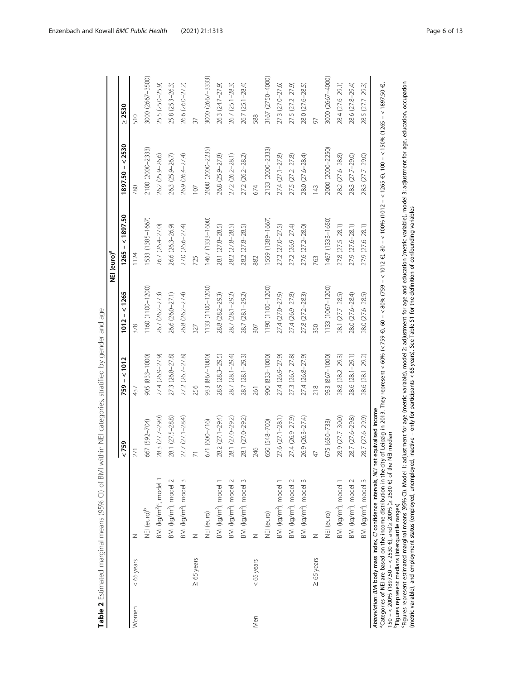<span id="page-5-0"></span>

|       |                 |                                                                                                                                                                           |                  |                  |                  | NEI (euro) <sup>a</sup>                                                                                                           |                  |                  |
|-------|-----------------|---------------------------------------------------------------------------------------------------------------------------------------------------------------------------|------------------|------------------|------------------|-----------------------------------------------------------------------------------------------------------------------------------|------------------|------------------|
|       |                 |                                                                                                                                                                           | < 759            | $759 - 1012$     | $1012 - 1265$    | $1265 - 1897.50$                                                                                                                  | $1897.50 - 2530$ | $\geq 2530$      |
| Women | $<$ 65 years    | Z                                                                                                                                                                         | 271              | 437              | 378              | 1124                                                                                                                              | 780              | 510              |
|       |                 | NEI (euro) <sup>b</sup>                                                                                                                                                   | 667 (592-704)    | 905 (833-1000)   | 1160 (1100-1200) | 1533 (1385-1667)                                                                                                                  | 2100 (2000-2333) | 3000 (2667-3500) |
|       |                 | BMI (kg/m <sup>2</sup> ) <sup>c</sup> , model 1                                                                                                                           | 28.3 (27.7-29.0) | 27.4 (26.9-27.9) | 26.7 (26.2-27.3) | 26.7 (26.4-27.0)                                                                                                                  | 26.2 (25.9-26.6) | 25.5 (25.0-25.9) |
|       |                 | BMI (kg/m <sup>2</sup> ), model 2                                                                                                                                         | 28.1 (27.5-28.8) | 27.3 (26.8-27.8) | 26.6 (26.0-27.1) | 26.6 (26.3-26.9)                                                                                                                  | 26.3 (25.9-26.7) | 25.8 (25.3-26.3) |
|       |                 | BMI (kg/m <sup>2</sup> ), model 3                                                                                                                                         | 27.7 (27.1-28.4) | 27.2 (26.7-27.8) | 26.8 (26.2-27.4) | 27.0 (26.6-27.4)                                                                                                                  | 26.9 (26.4-27.4) | 26.6 (26.0-27.2) |
|       | $\geq 65$ years | Z                                                                                                                                                                         |                  | 256              | 327              | 725                                                                                                                               | 107              | 37               |
|       |                 | NEI (euro)                                                                                                                                                                | 671 (600-716)    | 933 (867-1000)   | 1133 (1100-1200) | 1467 (1333-1600)                                                                                                                  | 2000 (2000-2235) | 3000 (2667-3333) |
|       |                 | BMI (kg/m <sup>2</sup> ), model 1                                                                                                                                         | 28.2 (27.1-29.4) | 28.9 (28.3-29.5) | 28.8 (28.2-29.3) | 28.1 (27.8-28.5)                                                                                                                  | 26.8 (25.9-27.8) | 26.3 (24.7-27.9) |
|       |                 | BMI (kg/m <sup>2</sup> ), model 2                                                                                                                                         | 28.1 (27.0-29.2) | 28.7 (28.1-29.4) | 28.7 (28.1-29.2) | 28.2 (27.8-28.5)                                                                                                                  | 27.2 (26.2-28.1) | 26.7 (25.1-28.3) |
|       |                 | BMI (kg/m <sup>2</sup> ), model 3                                                                                                                                         | 28.1 (27.0-29.2) | 28.7 (28.1-29.3) | 28.7 (28.1-29.2) | 28.2 (27.8-28.5)                                                                                                                  | 27.2 (26.2-28.2) | 26.7 (25.1-28.4) |
| Men   | $< 65$ years    | z                                                                                                                                                                         | 246              | 261              | 307              | 882                                                                                                                               | 674              | 588              |
|       |                 | NEI (euro)                                                                                                                                                                | 650 (548-700)    | 900 (833-1000)   | 1190 (1100-1200) | 1559 (1389-1667)                                                                                                                  | 2133 (2000-2333) | 3167 (2750-4000) |
|       |                 | BMI (kg/m <sup>2</sup> ), model 1                                                                                                                                         | 27.6 (27.1-28.1) | 27.4 (26.9-27.9) | 27.4 (27.0-27.9) | 27.2 (27.0-27.5)                                                                                                                  | 27.4 (27.1-27.8) | 27.3 (27.0-27.6) |
|       |                 | BMI (kg/m <sup>2</sup> ), model 2                                                                                                                                         | 27.4 (26.9-27.9) | 27.3 (26.7-27.8) | 27.4 (26.9-27.8) | 27.2 (26.9-27.4)                                                                                                                  | 27.5 (27.2-27.8) | 27.5 (27.2-27.9) |
|       |                 | BMI (kg/m <sup>2</sup> ), model 3                                                                                                                                         | 26.9 (26.3-27.4) | 27.4 (26.8-27.9) | 27.8 (27.2-28.3) | 27.6 (27.2-28.0)                                                                                                                  | 28.0 (27.6-28.4) | 28.0 (27.6-28.5) |
|       | $\geq 65$ years | Z                                                                                                                                                                         | $\overline{4}$   | 218              | 350              | 763                                                                                                                               | 143              | 97               |
|       |                 | NEI (euro)                                                                                                                                                                | 675 (650-733)    | 933 (867-1000)   | 1133 (1067-1200) | 1467 (1333-1650)                                                                                                                  | 2000 (2000-2250) | 3000 (2667-4000) |
|       |                 | BMI (kg/m <sup>2</sup> ), model 1                                                                                                                                         | 28.9 (27.7-30.0) | 28.8 (28.2-29.3) | 28.1 (27.7-28.5) | 27.8 (27.5-28.1)                                                                                                                  | 28.2 (27.6-28.8) | 28.4 (27.6-29.1) |
|       |                 | BMI (kg/m <sup>2</sup> ), model 2                                                                                                                                         | 28.7 (27.6-29.8) | 28.6 (28.1-29.1) | 28.0 (27.6-28.4) | 27.9 (27.6-28.1)                                                                                                                  | 28.3 (27.7-29.0) | 28.6 (27.8-29.4) |
|       |                 | BMI (kg/m <sup>2</sup> ), model 3                                                                                                                                         | 28.7 (27.6-29.9) | 28.6 (28.1-29.2) | 28.0 (27.6-28.5) | 27.9 (27.6-28.1)                                                                                                                  | 28.3 (27.7-29.0) | 28.5 (27.7-29.3) |
|       |                 | Abbreviation: BMI body mass index, CI confidence intervals, NEI net equivalised income<br><sup>9</sup> Categories of NEI are based on the income distribution in the city |                  |                  |                  | of Leipzig in 2013. They represent < 60% (< 759 €), 60 – < 80% (759 – < 1012 €), 80 – < 100% (1012 – < 1505 €), 100 – < 159750 €) |                  |                  |

Table 2 Estimated marginal means (95% CI) of BMI within NEI categories, stratified by gender and age Table 2 Estimated marginal means (95% CI) of BMI within NEI categories, stratified by gender and age

150 – < 200% (1897.50 – < 2530 €), and ≥ 200% (≥ 2530 €) of the NEI median

bFigures represent medians (interquartile ranges)

150 – < 200% (1897.50 – < 2530 €), and ≥ 200% (≥ 2530 €) of the NEI median<br><sup>b</sup>Figures represent medians (interquartile ranges)<br><sup>6</sup>Figures represent estimated marginal means (95% CI). Model 1: adjustment corage (metric vag cFigures represent estimated marginal means (95% CI). Model 1: adjustment for age (metric variable), model 2: adjustment for age and education (metric variable), model 3: adjustment for age, education, occupation (metric variable), and employment status (employed, unemployed, inactive – only for participants < 65 years). See Table S1 for the definition of confounding variables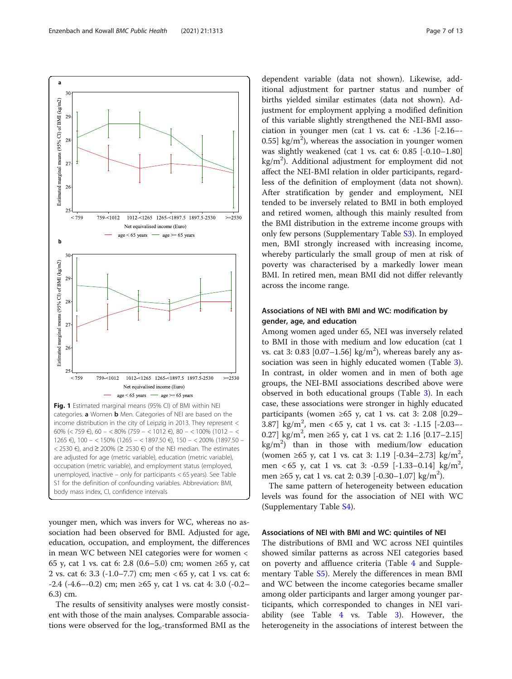<span id="page-6-0"></span>Enzenbach and Kowall BMC Public Health (2021) 21:1313 Page 7 of 13



younger men, which was invers for WC, whereas no association had been observed for BMI. Adjusted for age, education, occupation, and employment, the differences in mean WC between NEI categories were for women < 65 y, cat 1 vs. cat 6: 2.8 (0.6–5.0) cm; women ≥65 y, cat 2 vs. cat 6: 3.3 (-1.0–7.7) cm; men < 65 y, cat 1 vs. cat 6: -2.4 (-4.6–-0.2) cm; men ≥65 y, cat 1 vs. cat 4: 3.0 (-0.2– 6.3) cm.

The results of sensitivity analyses were mostly consistent with those of the main analyses. Comparable associations were observed for the log<sub>e</sub>-transformed BMI as the

dependent variable (data not shown). Likewise, additional adjustment for partner status and number of births yielded similar estimates (data not shown). Adjustment for employment applying a modified definition of this variable slightly strengthened the NEI-BMI association in younger men (cat 1 vs. cat 6:  $-1.36$  [ $-2.16$ -0.55] kg/m<sup>2</sup>), whereas the association in younger women was slightly weakened (cat 1 vs. cat 6: 0.85 [-0.10–1.80] kg/m<sup>2</sup>). Additional adjustment for employment did not affect the NEI-BMI relation in older participants, regardless of the definition of employment (data not shown). After stratification by gender and employment, NEI tended to be inversely related to BMI in both employed and retired women, although this mainly resulted from the BMI distribution in the extreme income groups with only few persons (Supplementary Table [S3](#page-10-0)). In employed men, BMI strongly increased with increasing income, whereby particularly the small group of men at risk of poverty was characterised by a markedly lower mean BMI. In retired men, mean BMI did not differ relevantly across the income range.

# Associations of NEI with BMI and WC: modification by gender, age, and education

Among women aged under 65, NEI was inversely related to BMI in those with medium and low education (cat 1 vs. cat 3: 0.83  $[0.07-1.56]$  kg/m<sup>2</sup>), whereas barely any association was seen in highly educated women (Table [3](#page-7-0)). In contrast, in older women and in men of both age groups, the NEI-BMI associations described above were observed in both educational groups (Table [3\)](#page-7-0). In each case, these associations were stronger in highly educated participants (women  $\geq 65$  y, cat 1 vs. cat 3: 2.08 [0.29– 3.87] kg/m<sup>2</sup>, men < 65 y, cat 1 vs. cat 3: -1.15 [-2.03--0.27] kg/m<sup>2</sup>, men ≥65 y, cat 1 vs. cat 2: 1.16 [0.17-2.15]  $kg/m<sup>2</sup>$ ) than in those with medium/low education (women ≥65 y, cat 1 vs. cat 3: 1.19 [-0.34–2.73] kg/m<sup>2</sup> , men < 65 y, cat 1 vs. cat 3: -0.59 [-1.33-0.14] kg/m<sup>2</sup>, men ≥65 y, cat 1 vs. cat 2: 0.39 [-0.30-1.07] kg/m<sup>2</sup>).

The same pattern of heterogeneity between education levels was found for the association of NEI with WC (Supplementary Table [S4](#page-10-0)).

## Associations of NEI with BMI and WC: quintiles of NEI

The distributions of BMI and WC across NEI quintiles showed similar patterns as across NEI categories based on poverty and affluence criteria (Table [4](#page-8-0) and Supplementary Table [S5](#page-10-0)). Merely the differences in mean BMI and WC between the income categories became smaller among older participants and larger among younger participants, which corresponded to changes in NEI variability (see Table [4](#page-8-0) vs. Table [3](#page-7-0)). However, the heterogeneity in the associations of interest between the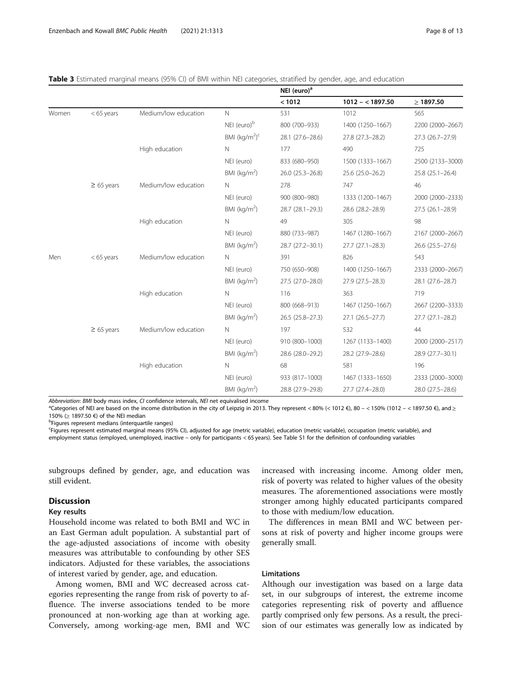<span id="page-7-0"></span>

|  | <b>Table 3</b> Estimated marginal means (95% CI) of BMI within NEI categories, stratified by gender, age, and education |  |
|--|-------------------------------------------------------------------------------------------------------------------------|--|
|  |                                                                                                                         |  |

|       |                 |                      |                         | NEI (euro) <sup>a</sup> |                     |                     |
|-------|-----------------|----------------------|-------------------------|-------------------------|---------------------|---------------------|
|       |                 |                      |                         | < 1012                  | $1012 - 1897.50$    | $\geq 1897.50$      |
| Women | $<$ 65 years    | Medium/low education | $\mathbb N$             | 531                     | 1012                | 565                 |
|       |                 |                      | NEI (euro) <sup>b</sup> | 800 (700-933)           | 1400 (1250-1667)    | 2200 (2000-2667)    |
|       |                 |                      | BMI $(kq/m2)c$          | 28.1 (27.6-28.6)        | 27.8 (27.3-28.2)    | $27.3(26.7-27.9)$   |
|       |                 | High education       | $\mathsf{N}$            | 177                     | 490                 | 725                 |
|       |                 |                      | NEI (euro)              | 833 (680-950)           | 1500 (1333-1667)    | 2500 (2133-3000)    |
|       |                 |                      | BMI ( $kg/m2$ )         | 26.0 (25.3-26.8)        | 25.6 (25.0-26.2)    | $25.8(25.1 - 26.4)$ |
|       | $\geq 65$ years | Medium/low education | N                       | 278                     | 747                 | 46                  |
|       |                 |                      | NEI (euro)              | 900 (800-980)           | 1333 (1200-1467)    | 2000 (2000-2333)    |
|       |                 |                      | BMI ( $kg/m2$ )         | 28.7 (28.1-29.3)        | 28.6 (28.2-28.9)    | $27.5(26.1-28.9)$   |
|       |                 | High education       | $\mathsf{N}$            | 49                      | 305                 | 98                  |
|       |                 |                      | NEI (euro)              | 880 (733-987)           | 1467 (1280-1667)    | 2167 (2000-2667)    |
|       |                 |                      | BMI ( $kg/m2$ )         | 28.7 (27.2-30.1)        | $27.7(27.1-28.3)$   | 26.6 (25.5-27.6)    |
| Men   | $<$ 65 years    | Medium/low education | N.                      | 391                     | 826                 | 543                 |
|       |                 |                      | NEI (euro)              | 750 (650-908)           | 1400 (1250-1667)    | 2333 (2000-2667)    |
|       |                 |                      | BMI ( $kg/m2$ )         | 27.5 (27.0-28.0)        | $27.9(27.5-28.3)$   | 28.1 (27.6-28.7)    |
|       |                 | High education       | $\mathsf{N}$            | 116                     | 363                 | 719                 |
|       |                 |                      | NEI (euro)              | 800 (668-913)           | 1467 (1250-1667)    | 2667 (2200-3333)    |
|       |                 |                      | BMI ( $kg/m2$ )         | 26.5 (25.8-27.3)        | $27.1(26.5 - 27.7)$ | 27.7 (27.1-28.2)    |
|       | $\geq 65$ years | Medium/low education | N                       | 197                     | 532                 | 44                  |
|       |                 |                      | NEI (euro)              | 910 (800-1000)          | 1267 (1133-1400)    | 2000 (2000-2517)    |
|       |                 |                      | BMI ( $kg/m2$ )         | 28.6 (28.0-29.2)        | 28.2 (27.9-28.6)    | 28.9 (27.7-30.1)    |
|       |                 | High education       | N                       | 68                      | 581                 | 196                 |
|       |                 |                      | NEI (euro)              | 933 (817-1000)          | 1467 (1333-1650)    | 2333 (2000-3000)    |
|       |                 |                      | BMI ( $kg/m2$ )         | 28.8 (27.9-29.8)        | 27.7 (27.4-28.0)    | 28.0 (27.5-28.6)    |

Abbreviation: BMI body mass index, CI confidence intervals, NEI net equivalised income

<sup>a</sup>Categories of NEI are based on the income distribution in the city of Leipzig in 2013. They represent < 80% (< 1012 €), 80 - < 150% (1012 - < 1897.50 €), and ≥ 150% (<sup>≥</sup> 1897.50 €) of the NEI median <sup>b</sup>

<sup>b</sup>Figures represent medians (interquartile ranges)

c Figures represent estimated marginal means (95% CI), adjusted for age (metric variable), education (metric variable), occupation (metric variable), and employment status (employed, unemployed, inactive – only for participants < 65 years). See Table S1 for the definition of confounding variables

subgroups defined by gender, age, and education was still evident.

# Discussion

#### Key results

Household income was related to both BMI and WC in an East German adult population. A substantial part of the age-adjusted associations of income with obesity measures was attributable to confounding by other SES indicators. Adjusted for these variables, the associations of interest varied by gender, age, and education.

Among women, BMI and WC decreased across categories representing the range from risk of poverty to affluence. The inverse associations tended to be more pronounced at non-working age than at working age. Conversely, among working-age men, BMI and WC increased with increasing income. Among older men, risk of poverty was related to higher values of the obesity measures. The aforementioned associations were mostly stronger among highly educated participants compared to those with medium/low education.

The differences in mean BMI and WC between persons at risk of poverty and higher income groups were generally small.

#### Limitations

Although our investigation was based on a large data set, in our subgroups of interest, the extreme income categories representing risk of poverty and affluence partly comprised only few persons. As a result, the precision of our estimates was generally low as indicated by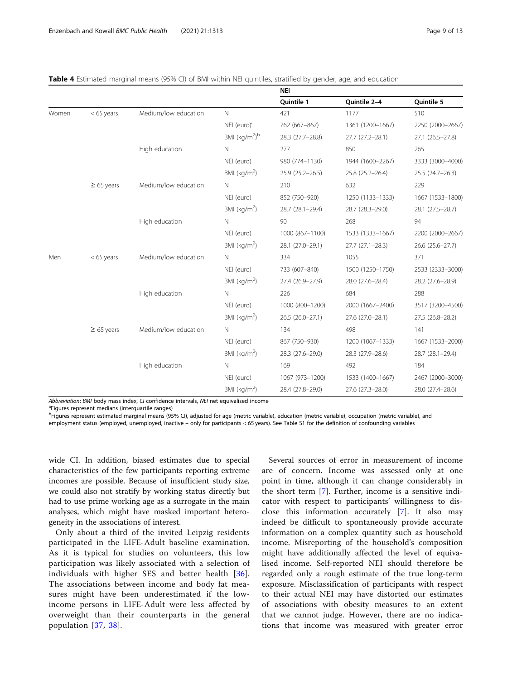|       |                 |                      |                          | <b>NEI</b>          |                     |                     |
|-------|-----------------|----------------------|--------------------------|---------------------|---------------------|---------------------|
|       |                 |                      |                          | Quintile 1          | Quintile 2-4        | Quintile 5          |
| Women | $< 65$ years    | Medium/low education | $\mathsf{N}$             | 421                 | 1177                | 510                 |
|       |                 |                      | NEI (euro) $a$           | 762 (667-867)       | 1361 (1200-1667)    | 2250 (2000-2667)    |
|       |                 |                      | BMI (kg/m <sup>2)b</sup> | 28.3 (27.7-28.8)    | $27.7(27.2 - 28.1)$ | $27.1(26.5 - 27.8)$ |
|       |                 | High education       | $\mathsf{N}$             | 277                 | 850                 | 265                 |
|       |                 |                      | NEI (euro)               | 980 (774-1130)      | 1944 (1600-2267)    | 3333 (3000-4000)    |
|       |                 |                      | BMI ( $kg/m2$ )          | $25.9(25.2 - 26.5)$ | $25.8(25.2 - 26.4)$ | $25.5(24.7-26.3)$   |
|       | $\geq 65$ years | Medium/low education | N                        | 210                 | 632                 | 229                 |
|       |                 |                      | NEI (euro)               | 852 (750-920)       | 1250 (1133-1333)    | 1667 (1533-1800)    |
|       |                 |                      | BMI ( $kg/m2$ )          | 28.7 (28.1-29.4)    | 28.7 (28.3-29.0)    | 28.1 (27.5-28.7)    |
|       |                 | High education       | N                        | 90                  | 268                 | 94                  |
|       |                 |                      | NEI (euro)               | 1000 (867-1100)     | 1533 (1333-1667)    | 2200 (2000-2667)    |
|       |                 |                      | BMI ( $kg/m2$ )          | 28.1 (27.0-29.1)    | $27.7(27.1-28.3)$   | 26.6 (25.6-27.7)    |
| Men   | $<$ 65 years    | Medium/low education | N                        | 334                 | 1055                | 371                 |
|       |                 |                      | NEI (euro)               | 733 (607-840)       | 1500 (1250-1750)    | 2533 (2333-3000)    |
|       |                 |                      | BMI ( $kg/m2$ )          | 27.4 (26.9-27.9)    | 28.0 (27.6-28.4)    | 28.2 (27.6-28.9)    |
|       |                 | High education       | $\mathsf{N}$             | 226                 | 684                 | 288                 |
|       |                 |                      | NEI (euro)               | 1000 (800-1200)     | 2000 (1667-2400)    | 3517 (3200-4500)    |
|       |                 |                      | BMI ( $kg/m2$ )          | $26.5(26.0-27.1)$   | 27.6 (27.0-28.1)    | 27.5 (26.8-28.2)    |
|       | $\geq 65$ years | Medium/low education | N                        | 134                 | 498                 | 141                 |
|       |                 |                      | NEI (euro)               | 867 (750-930)       | 1200 (1067-1333)    | 1667 (1533-2000)    |
|       |                 |                      | BMI ( $kg/m2$ )          | 28.3 (27.6-29.0)    | 28.3 (27.9-28.6)    | 28.7 (28.1-29.4)    |
|       |                 | High education       | $\mathsf{N}$             | 169                 | 492                 | 184                 |
|       |                 |                      | NEI (euro)               | 1067 (973-1200)     | 1533 (1400-1667)    | 2467 (2000-3000)    |
|       |                 |                      | BMI ( $kg/m2$ )          | 28.4 (27.8-29.0)    | 27.6 (27.3-28.0)    | 28.0 (27.4-28.6)    |

<span id="page-8-0"></span>

| Table 4 Estimated marginal means (95% CI) of BMI within NEI quintiles, stratified by gender, age, and education |  |  |  |  |
|-----------------------------------------------------------------------------------------------------------------|--|--|--|--|
|-----------------------------------------------------------------------------------------------------------------|--|--|--|--|

Abbreviation: BMI body mass index, CI confidence intervals, NEI net equivalised income

<sup>a</sup>Figures represent medians (interquartile ranges)

<sup>b</sup>Figures represent estimated marginal means (95% CI), adjusted for age (metric variable), education (metric variable), occupation (metric variable), and employment status (employed, unemployed, inactive – only for participants < 65 years). See Table S1 for the definition of confounding variables

wide CI. In addition, biased estimates due to special characteristics of the few participants reporting extreme incomes are possible. Because of insufficient study size, we could also not stratify by working status directly but had to use prime working age as a surrogate in the main analyses, which might have masked important heterogeneity in the associations of interest.

Only about a third of the invited Leipzig residents participated in the LIFE-Adult baseline examination. As it is typical for studies on volunteers, this low participation was likely associated with a selection of individuals with higher SES and better health [[36](#page-12-0)]. The associations between income and body fat measures might have been underestimated if the lowincome persons in LIFE-Adult were less affected by overweight than their counterparts in the general population [[37](#page-12-0), [38\]](#page-12-0).

Several sources of error in measurement of income are of concern. Income was assessed only at one point in time, although it can change considerably in the short term [\[7](#page-11-0)]. Further, income is a sensitive indicator with respect to participants' willingness to disclose this information accurately [[7](#page-11-0)]. It also may indeed be difficult to spontaneously provide accurate information on a complex quantity such as household income. Misreporting of the household's composition might have additionally affected the level of equivalised income. Self-reported NEI should therefore be regarded only a rough estimate of the true long-term exposure. Misclassification of participants with respect to their actual NEI may have distorted our estimates of associations with obesity measures to an extent that we cannot judge. However, there are no indications that income was measured with greater error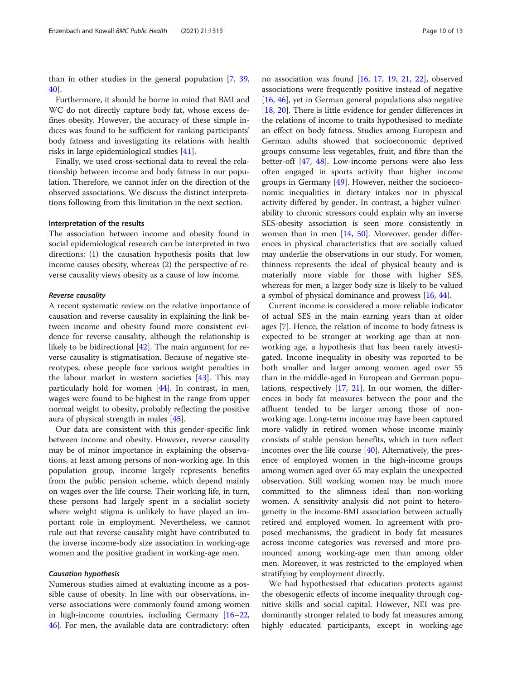than in other studies in the general population [[7](#page-11-0), [39](#page-12-0), [40\]](#page-12-0).

Furthermore, it should be borne in mind that BMI and WC do not directly capture body fat, whose excess defines obesity. However, the accuracy of these simple indices was found to be sufficient for ranking participants' body fatness and investigating its relations with health risks in large epidemiological studies [\[41\]](#page-12-0).

Finally, we used cross-sectional data to reveal the relationship between income and body fatness in our population. Therefore, we cannot infer on the direction of the observed associations. We discuss the distinct interpretations following from this limitation in the next section.

#### Interpretation of the results

The association between income and obesity found in social epidemiological research can be interpreted in two directions: (1) the causation hypothesis posits that low income causes obesity, whereas (2) the perspective of reverse causality views obesity as a cause of low income.

#### Reverse causality

A recent systematic review on the relative importance of causation and reverse causality in explaining the link between income and obesity found more consistent evidence for reverse causality, although the relationship is likely to be bidirectional [[42](#page-12-0)]. The main argument for reverse causality is stigmatisation. Because of negative stereotypes, obese people face various weight penalties in the labour market in western societies [[43](#page-12-0)]. This may particularly hold for women [[44](#page-12-0)]. In contrast, in men, wages were found to be highest in the range from upper normal weight to obesity, probably reflecting the positive aura of physical strength in males [[45\]](#page-12-0).

Our data are consistent with this gender-specific link between income and obesity. However, reverse causality may be of minor importance in explaining the observations, at least among persons of non-working age. In this population group, income largely represents benefits from the public pension scheme, which depend mainly on wages over the life course. Their working life, in turn, these persons had largely spent in a socialist society where weight stigma is unlikely to have played an important role in employment. Nevertheless, we cannot rule out that reverse causality might have contributed to the inverse income-body size association in working-age women and the positive gradient in working-age men.

#### Causation hypothesis

Numerous studies aimed at evaluating income as a possible cause of obesity. In line with our observations, inverse associations were commonly found among women in high-income countries, including Germany [[16](#page-11-0)–[22](#page-11-0), [46\]](#page-12-0). For men, the available data are contradictory: often no association was found [[16](#page-11-0), [17,](#page-11-0) [19,](#page-11-0) [21,](#page-11-0) [22\]](#page-11-0), observed associations were frequently positive instead of negative [[16,](#page-11-0) [46\]](#page-12-0), yet in German general populations also negative [[18,](#page-11-0) [20\]](#page-11-0). There is little evidence for gender differences in the relations of income to traits hypothesised to mediate an effect on body fatness. Studies among European and German adults showed that socioeconomic deprived groups consume less vegetables, fruit, and fibre than the better-off [[47,](#page-12-0) [48](#page-12-0)]. Low-income persons were also less often engaged in sports activity than higher income groups in Germany [\[49](#page-12-0)]. However, neither the socioeconomic inequalities in dietary intakes nor in physical activity differed by gender. In contrast, a higher vulnerability to chronic stressors could explain why an inverse SES-obesity association is seen more consistently in women than in men [\[14](#page-11-0), [50](#page-12-0)]. Moreover, gender differences in physical characteristics that are socially valued may underlie the observations in our study. For women, thinness represents the ideal of physical beauty and is materially more viable for those with higher SES, whereas for men, a larger body size is likely to be valued a symbol of physical dominance and prowess [[16](#page-11-0), [44](#page-12-0)].

Current income is considered a more reliable indicator of actual SES in the main earning years than at older ages [\[7](#page-11-0)]. Hence, the relation of income to body fatness is expected to be stronger at working age than at nonworking age, a hypothesis that has been rarely investigated. Income inequality in obesity was reported to be both smaller and larger among women aged over 55 than in the middle-aged in European and German populations, respectively [[17,](#page-11-0) [21](#page-11-0)]. In our women, the differences in body fat measures between the poor and the affluent tended to be larger among those of nonworking age. Long-term income may have been captured more validly in retired women whose income mainly consists of stable pension benefits, which in turn reflect incomes over the life course [[40](#page-12-0)]. Alternatively, the presence of employed women in the high-income groups among women aged over 65 may explain the unexpected observation. Still working women may be much more committed to the slimness ideal than non-working women. A sensitivity analysis did not point to heterogeneity in the income-BMI association between actually retired and employed women. In agreement with proposed mechanisms, the gradient in body fat measures across income categories was reversed and more pronounced among working-age men than among older men. Moreover, it was restricted to the employed when stratifying by employment directly.

We had hypothesised that education protects against the obesogenic effects of income inequality through cognitive skills and social capital. However, NEI was predominantly stronger related to body fat measures among highly educated participants, except in working-age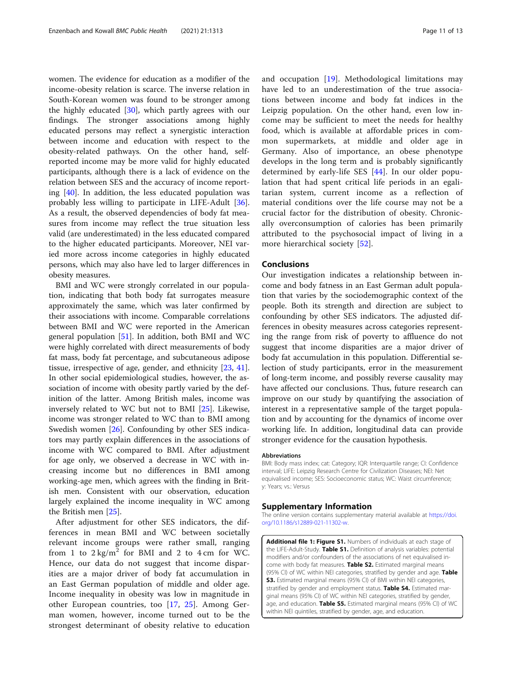<span id="page-10-0"></span>women. The evidence for education as a modifier of the income-obesity relation is scarce. The inverse relation in South-Korean women was found to be stronger among the highly educated [[30](#page-12-0)], which partly agrees with our findings. The stronger associations among highly educated persons may reflect a synergistic interaction between income and education with respect to the obesity-related pathways. On the other hand, selfreported income may be more valid for highly educated participants, although there is a lack of evidence on the relation between SES and the accuracy of income reporting  $[40]$  $[40]$ . In addition, the less educated population was probably less willing to participate in LIFE-Adult [\[36](#page-12-0)]. As a result, the observed dependencies of body fat measures from income may reflect the true situation less valid (are underestimated) in the less educated compared to the higher educated participants. Moreover, NEI varied more across income categories in highly educated persons, which may also have led to larger differences in obesity measures.

BMI and WC were strongly correlated in our population, indicating that both body fat surrogates measure approximately the same, which was later confirmed by their associations with income. Comparable correlations between BMI and WC were reported in the American general population [[51\]](#page-12-0). In addition, both BMI and WC were highly correlated with direct measurements of body fat mass, body fat percentage, and subcutaneous adipose tissue, irrespective of age, gender, and ethnicity [[23,](#page-11-0) [41](#page-12-0)]. In other social epidemiological studies, however, the association of income with obesity partly varied by the definition of the latter. Among British males, income was inversely related to WC but not to BMI [\[25](#page-11-0)]. Likewise, income was stronger related to WC than to BMI among Swedish women [[26\]](#page-11-0). Confounding by other SES indicators may partly explain differences in the associations of income with WC compared to BMI. After adjustment for age only, we observed a decrease in WC with increasing income but no differences in BMI among working-age men, which agrees with the finding in British men. Consistent with our observation, education largely explained the income inequality in WC among the British men [\[25](#page-11-0)].

After adjustment for other SES indicators, the differences in mean BMI and WC between societally relevant income groups were rather small, ranging from 1 to  $2 \text{ kg/m}^2$  for BMI and 2 to 4 cm for WC. Hence, our data do not suggest that income disparities are a major driver of body fat accumulation in an East German population of middle and older age. Income inequality in obesity was low in magnitude in other European countries, too [\[17](#page-11-0), [25\]](#page-11-0). Among German women, however, income turned out to be the strongest determinant of obesity relative to education and occupation [\[19](#page-11-0)]. Methodological limitations may have led to an underestimation of the true associations between income and body fat indices in the Leipzig population. On the other hand, even low income may be sufficient to meet the needs for healthy food, which is available at affordable prices in common supermarkets, at middle and older age in Germany. Also of importance, an obese phenotype develops in the long term and is probably significantly determined by early-life SES [\[44](#page-12-0)]. In our older population that had spent critical life periods in an egalitarian system, current income as a reflection of material conditions over the life course may not be a crucial factor for the distribution of obesity. Chronically overconsumption of calories has been primarily attributed to the psychosocial impact of living in a more hierarchical society [[52\]](#page-12-0).

#### Conclusions

Our investigation indicates a relationship between income and body fatness in an East German adult population that varies by the sociodemographic context of the people. Both its strength and direction are subject to confounding by other SES indicators. The adjusted differences in obesity measures across categories representing the range from risk of poverty to affluence do not suggest that income disparities are a major driver of body fat accumulation in this population. Differential selection of study participants, error in the measurement of long-term income, and possibly reverse causality may have affected our conclusions. Thus, future research can improve on our study by quantifying the association of interest in a representative sample of the target population and by accounting for the dynamics of income over working life. In addition, longitudinal data can provide stronger evidence for the causation hypothesis.

#### Abbreviations

BMI: Body mass index; cat: Category; IQR: Interquartile range; CI: Confidence interval; LIFE: Leipzig Research Centre for Civilization Diseases; NEI: Net equivalised income; SES: Socioeconomic status; WC: Waist circumference; y: Years; vs.: Versus

#### Supplementary Information

The online version contains supplementary material available at [https://doi.](https://doi.org/10.1186/s12889-021-11302-w) [org/10.1186/s12889-021-11302-w](https://doi.org/10.1186/s12889-021-11302-w).

Additional file 1: Figure S1. Numbers of individuals at each stage of the LIFE-Adult-Study. Table S1. Definition of analysis variables: potential modifiers and/or confounders of the associations of net equivalised income with body fat measures. Table S2. Estimated marginal means (95% CI) of WC within NEI categories, stratified by gender and age. Table S3. Estimated marginal means (95% CI) of BMI within NEI categories, stratified by gender and employment status. Table S4. Estimated marginal means (95% CI) of WC within NEI categories, stratified by gender, age, and education. Table S5. Estimated marginal means (95% CI) of WC within NEI quintiles, stratified by gender, age, and education.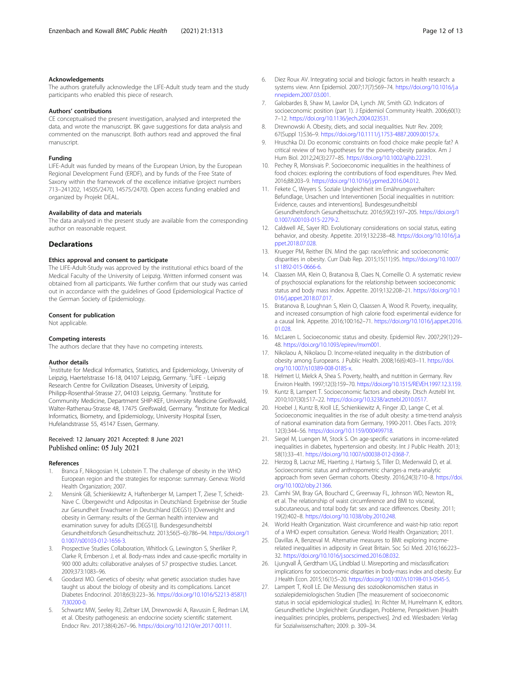#### <span id="page-11-0"></span>Acknowledgements

The authors gratefully acknowledge the LIFE-Adult study team and the study participants who enabled this piece of research.

#### Authors' contributions

CE conceptualised the present investigation, analysed and interpreted the data, and wrote the manuscript. BK gave suggestions for data analysis and commented on the manuscript. Both authors read and approved the final manuscript.

#### Funding

LIFE-Adult was funded by means of the European Union, by the European Regional Development Fund (ERDF), and by funds of the Free State of Saxony within the framework of the excellence initiative (project numbers 713–241202, 14505/2470, 14575/2470). Open access funding enabled and organized by Projekt DEAL.

#### Availability of data and materials

The data analysed in the present study are available from the corresponding author on reasonable request.

#### **Declarations**

#### Ethics approval and consent to participate

The LIFE-Adult-Study was approved by the institutional ethics board of the Medical Faculty of the University of Leipzig. Written informed consent was obtained from all participants. We further confirm that our study was carried out in accordance with the guidelines of Good Epidemiological Practice of the German Society of Epidemiology.

#### Consent for publication

Not applicable.

#### Competing interests

The authors declare that they have no competing interests.

#### Author details

<sup>1</sup>Institute for Medical Informatics, Statistics, and Epidemiology, University of Leipzig, Haertelstrasse 16-18, 04107 Leipzig, Germany. <sup>2</sup>LIFE - Leipzig Research Centre for Civilization Diseases, University of Leipzig, Philipp-Rosenthal-Strasse 27, 04103 Leipzig, Germany. <sup>3</sup>Institute for Community Medicine, Department SHIP-KEF, University Medicine Greifswald, Walter-Rathenau-Strasse 48, 17475 Greifswald, Germany. <sup>4</sup>Institute for Medical Informatics, Biometry, and Epidemiology, University Hospital Essen, Hufelandstrasse 55, 45147 Essen, Germany.

#### Received: 12 January 2021 Accepted: 8 June 2021 Published online: 05 July 2021

#### References

- 1. Branca F, Nikogosian H, Lobstein T. The challenge of obesity in the WHO European region and the strategies for response: summary. Geneva: World Health Organization; 2007.
- 2. Mensink GB, Schienkiewitz A, Haftenberger M, Lampert T, Ziese T, Scheidt-Nave C. Übergewicht und Adipositas in Deutschland: Ergebnisse der Studie zur Gesundheit Erwachsener in Deutschland (DEGS1) [Overweight and obesity in Germany: results of the German health interview and examination survey for adults (DEGS1)]. Bundesgesundheitsbl Gesundheitsforsch Gesundheitsschutz. 2013;56(5–6):786–94. [https://doi.org/1](https://doi.org/10.1007/s00103-012-1656-3) [0.1007/s00103-012-1656-3.](https://doi.org/10.1007/s00103-012-1656-3)
- 3. Prospective Studies Collaboration, Whitlock G, Lewington S, Sherliker P, Clarke R, Emberson J, et al. Body-mass index and cause-specific mortality in 900 000 adults: collaborative analyses of 57 prospective studies. Lancet. 2009;373:1083–96.
- 4. Goodarzi MO. Genetics of obesity: what genetic association studies have taught us about the biology of obesity and its complications. Lancet Diabetes Endocrinol. 2018;6(3):223–36. [https://doi.org/10.1016/S2213-8587\(1](https://doi.org/10.1016/S2213-8587(17)30200-0) [7\)30200-0](https://doi.org/10.1016/S2213-8587(17)30200-0).
- 5. Schwartz MW, Seeley RJ, Zeltser LM, Drewnowski A, Ravussin E, Redman LM, et al. Obesity pathogenesis: an endocrine society scientific statement. Endocr Rev. 2017;38(4):267–96. [https://doi.org/10.1210/er.2017-00111.](https://doi.org/10.1210/er.2017-00111)
- 6. Diez Roux AV. Integrating social and biologic factors in health research: a systems view. Ann Epidemiol. 2007;17(7):569–74. [https://doi.org/10.1016/j.a](https://doi.org/10.1016/j.annepidem.2007.03.001) [nnepidem.2007.03.001](https://doi.org/10.1016/j.annepidem.2007.03.001).
- Galobardes B, Shaw M, Lawlor DA, Lynch JW, Smith GD. Indicators of socioeconomic position (part 1). J Epidemiol Community Health. 2006;60(1): 7–12. <https://doi.org/10.1136/jech.2004.023531>.
- 8. Drewnowski A. Obesity, diets, and social inequalities. Nutr Rev. 2009; 67(Suppl 1):S36–9. <https://doi.org/10.1111/j.1753-4887.2009.00157.x>.
- 9. Hruschka DJ. Do economic constraints on food choice make people fat? A critical review of two hypotheses for the poverty-obesity paradox. Am J Hum Biol. 2012;24(3):277–85. <https://doi.org/10.1002/ajhb.22231>.
- 10. Pechey R, Monsivais P. Socioeconomic inequalities in the healthiness of food choices: exploring the contributions of food expenditures. Prev Med. 2016;88:203–9. <https://doi.org/10.1016/j.ypmed.2016.04.012>.
- 11. Fekete C, Weyers S. Soziale Ungleichheit im Ernährungsverhalten: Befundlage, Ursachen und Interventionen [Social inequalities in nutrition: Evidence, causes and interventions]. Bundesgesundheitsbl Gesundheitsforsch Gesundheitsschutz. 2016;59(2):197–205. [https://doi.org/1](https://doi.org/10.1007/s00103-015-2279-2) [0.1007/s00103-015-2279-2.](https://doi.org/10.1007/s00103-015-2279-2)
- 12. Caldwell AE, Sayer RD. Evolutionary considerations on social status, eating behavior, and obesity. Appetite. 2019;132:238–48. [https://doi.org/10.1016/j.a](https://doi.org/10.1016/j.appet.2018.07.028) [ppet.2018.07.028](https://doi.org/10.1016/j.appet.2018.07.028).
- 13. Krueger PM, Reither EN. Mind the gap: race/ethnic and socioeconomic disparities in obesity. Curr Diab Rep. 2015;15(11):95. [https://doi.org/10.1007/](https://doi.org/10.1007/s11892-015-0666-6) [s11892-015-0666-6.](https://doi.org/10.1007/s11892-015-0666-6)
- 14. Claassen MA, Klein O, Bratanova B, Claes N, Corneille O. A systematic review of psychosocial explanations for the relationship between socioeconomic status and body mass index. Appetite. 2019;132:208–21. [https://doi.org/10.1](https://doi.org/10.1016/j.appet.2018.07.017) [016/j.appet.2018.07.017.](https://doi.org/10.1016/j.appet.2018.07.017)
- 15. Bratanova B, Loughnan S, Klein O, Claassen A, Wood R. Poverty, inequality, and increased consumption of high calorie food: experimental evidence for a causal link. Appetite. 2016;100:162–71. [https://doi.org/10.1016/j.appet.2016.](https://doi.org/10.1016/j.appet.2016.01.028) [01.028](https://doi.org/10.1016/j.appet.2016.01.028).
- 16. McLaren L. Socioeconomic status and obesity. Epidemiol Rev. 2007;29(1):29– 48. [https://doi.org/10.1093/epirev/mxm001.](https://doi.org/10.1093/epirev/mxm001)
- 17. Nikolaou A, Nikolaou D. Income-related inequality in the distribution of obesity among Europeans. J Public Health. 2008;16(6):403–11. [https://doi.](https://doi.org/10.1007/s10389-008-0185-x) [org/10.1007/s10389-008-0185-x.](https://doi.org/10.1007/s10389-008-0185-x)
- 18. Helmert U, Mielck A, Shea S. Poverty, health, and nutrition in Germany. Rev Environ Health. 1997;12(3):159–70. [https://doi.org/10.1515/REVEH.1997.12.3.159.](https://doi.org/10.1515/REVEH.1997.12.3.159)
- 19. Kuntz B, Lampert T. Socioeconomic factors and obesity. Dtsch Arztebl Int. 2010;107(30):517–22. <https://doi.org/10.3238/arztebl.2010.0517>.
- 20. Hoebel J, Kuntz B, Kroll LE, Schienkiewitz A, Finger JD, Lange C, et al. Socioeconomic inequalities in the rise of adult obesity: a time-trend analysis of national examination data from Germany, 1990-2011. Obes Facts. 2019; 12(3):344–56. [https://doi.org/10.1159/000499718.](https://doi.org/10.1159/000499718)
- 21. Siegel M, Luengen M, Stock S. On age-specific variations in income-related inequalities in diabetes, hypertension and obesity. Int J Public Health. 2013; 58(1):33–41. [https://doi.org/10.1007/s00038-012-0368-7.](https://doi.org/10.1007/s00038-012-0368-7)
- 22. Herzog B, Lacruz ME, Haerting J, Hartwig S, Tiller D, Medenwald D, et al. Socioeconomic status and anthropometric changes-a meta-analytic approach from seven German cohorts. Obesity. 2016;24(3):710–8. [https://doi.](https://doi.org/10.1002/oby.21366) [org/10.1002/oby.21366](https://doi.org/10.1002/oby.21366).
- 23. Camhi SM, Bray GA, Bouchard C, Greenway FL, Johnson WD, Newton RL, et al. The relationship of waist circumference and BMI to visceral, subcutaneous, and total body fat: sex and race differences. Obesity. 2011; 19(2):402–8. [https://doi.org/10.1038/oby.2010.248.](https://doi.org/10.1038/oby.2010.248)
- 24. World Health Organization. Waist circumference and waist-hip ratio: report of a WHO expert consultation. Geneva: World Health Organization; 2011.
- 25. Davillas A, Benzeval M. Alternative measures to BMI: exploring incomerelated inequalities in adiposity in Great Britain. Soc Sci Med. 2016;166:223– 32. [https://doi.org/10.1016/j.socscimed.2016.08.032.](https://doi.org/10.1016/j.socscimed.2016.08.032)
- 26. Ljungvall Å, Gerdtham UG, Lindblad U. Misreporting and misclassification: implications for socioeconomic disparities in body-mass index and obesity. Eur J Health Econ. 2015;16(1):5–20. [https://doi.org/10.1007/s10198-013-0545-5.](https://doi.org/10.1007/s10198-013-0545-5)
- 27. Lampert T, Kroll LE. Die Messung des sozioökonomischen status in sozialepidemiologischen Studien [The measurement of socioeconomic status in social epidemiological studies]. In: Richter M, Hurrelmann K, editors. Gesundheitliche Ungleichheit: Grundlagen, Probleme, Perspektiven [Health inequalities: principles, problems, perspectives]. 2nd ed. Wiesbaden: Verlag für Sozialwissenschaften; 2009. p. 309–34.